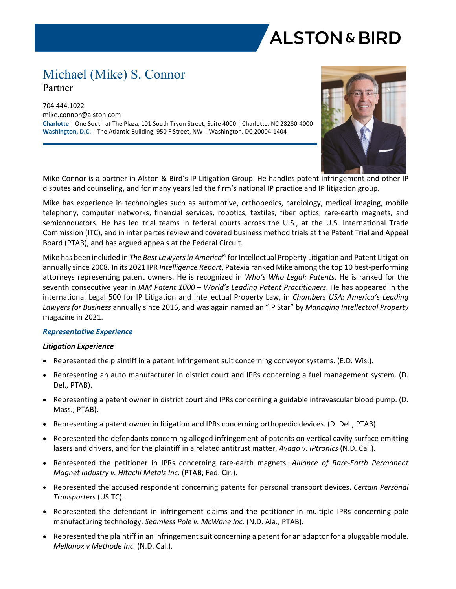

# Michael (Mike) S. Connor Partner

704.444.1022 mike.connor@alston.com **Charlotte** | One South at The Plaza, 101 South Tryon Street, Suite 4000 | Charlotte, NC 28280-4000 **Washington, D.C.** | The Atlantic Building, 950 F Street, NW | Washington, DC 20004-1404



Mike Connor is a partner in Alston & Bird's IP Litigation Group. He handles patent infringement and other IP disputes and counseling, and for many years led the firm's national IP practice and IP litigation group.

Mike has experience in technologies such as automotive, orthopedics, cardiology, medical imaging, mobile telephony, computer networks, financial services, robotics, textiles, fiber optics, rare-earth magnets, and semiconductors. He has led trial teams in federal courts across the U.S., at the U.S. International Trade Commission (ITC), and in inter partes review and covered business method trials at the Patent Trial and Appeal Board (PTAB), and has argued appeals at the Federal Circuit.

Mike has been included in *The Best Lawyers in America©* for Intellectual Property Litigation and Patent Litigation annually since 2008. In its 2021 IPR *Intelligence Report*, Patexia ranked Mike among the top 10 best-performing attorneys representing patent owners. He is recognized in *Who's Who Legal: Patents*. He is ranked for the seventh consecutive year in *IAM Patent 1000 – World's Leading Patent Practitioners*. He has appeared in the international Legal 500 for IP Litigation and Intellectual Property Law, in *Chambers USA: America's Leading Lawyers for Business* annually since 2016, and was again named an "IP Star" by *Managing Intellectual Property* magazine in 2021.

## *Representative Experience*

## *Litigation Experience*

- **•** Represented the plaintiff in a patent infringement suit concerning conveyor systems. (E.D. Wis.).
- Representing an auto manufacturer in district court and IPRs concerning a fuel management system. (D. Del., PTAB).
- Representing a patent owner in district court and IPRs concerning a guidable intravascular blood pump. (D. Mass., PTAB).
- Representing a patent owner in litigation and IPRs concerning orthopedic devices. (D. Del., PTAB).
- Represented the defendants concerning alleged infringement of patents on vertical cavity surface emitting lasers and drivers, and for the plaintiff in a related antitrust matter. *Avago v. IPtronics* (N.D. Cal.).
- Represented the petitioner in IPRs concerning rare-earth magnets. *Alliance of Rare-Earth Permanent Magnet Industry v. Hitachi Metals Inc.* (PTAB; Fed. Cir.).
- Represented the accused respondent concerning patents for personal transport devices. *Certain Personal Transporters* (USITC).
- Represented the defendant in infringement claims and the petitioner in multiple IPRs concerning pole manufacturing technology. *Seamless Pole v. McWane Inc.* (N.D. Ala., PTAB).
- Represented the plaintiff in an infringement suit concerning a patent for an adaptor for a pluggable module. *Mellanox v Methode Inc.* (N.D. Cal.).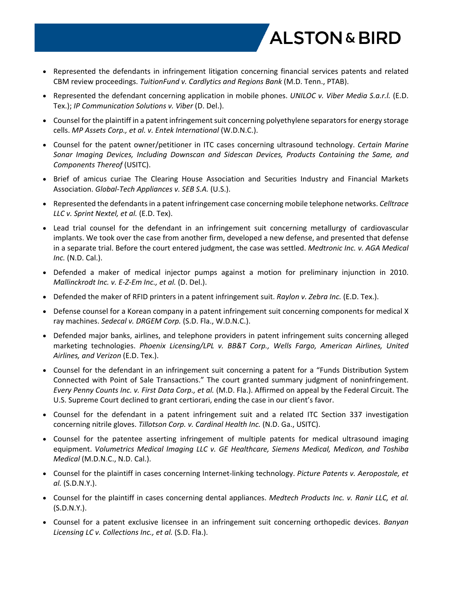

- Represented the defendants in infringement litigation concerning financial services patents and related CBM review proceedings. *TuitionFund v. Cardlytics and Regions Bank* (M.D. Tenn., PTAB).
- Represented the defendant concerning application in mobile phones. *UNILOC v. Viber Media S.a.r.l.* (E.D. Tex.); *IP Communication Solutions v. Viber* (D. Del.).
- Counsel for the plaintiff in a patent infringement suit concerning polyethylene separators for energy storage cells. *MP Assets Corp., et al. v. Entek International* (W.D.N.C.).
- Counsel for the patent owner/petitioner in ITC cases concerning ultrasound technology. *Certain Marine Sonar Imaging Devices, Including Downscan and Sidescan Devices, Products Containing the Same, and Components Thereof* (USITC).
- Brief of amicus curiae The Clearing House Association and Securities Industry and Financial Markets Association. *Global-Tech Appliances v. SEB S.A.* (U.S.).
- Represented the defendants in a patent infringement case concerning mobile telephone networks. *Celltrace LLC v. Sprint Nextel, et al.* (E.D. Tex).
- Lead trial counsel for the defendant in an infringement suit concerning metallurgy of cardiovascular implants. We took over the case from another firm, developed a new defense, and presented that defense in a separate trial. Before the court entered judgment, the case was settled. *Medtronic Inc. v. AGA Medical Inc.* (N.D. Cal.).
- Defended a maker of medical injector pumps against a motion for preliminary injunction in 2010. *Mallinckrodt Inc. v. E-Z-Em Inc., et al.* (D. Del.).
- Defended the maker of RFID printers in a patent infringement suit. *Raylon v. Zebra Inc.* (E.D. Tex.).
- Defense counsel for a Korean company in a patent infringement suit concerning components for medical X ray machines. *Sedecal v. DRGEM Corp.* (S.D. Fla., W.D.N.C.).
- Defended major banks, airlines, and telephone providers in patent infringement suits concerning alleged marketing technologies. *Phoenix Licensing/LPL v. BB&T Corp., Wells Fargo, American Airlines, United Airlines, and Verizon* (E.D. Tex.).
- Counsel for the defendant in an infringement suit concerning a patent for a "Funds Distribution System Connected with Point of Sale Transactions." The court granted summary judgment of noninfringement. *Every Penny Counts Inc. v. First Data Corp., et al.* (M.D. Fla.). Affirmed on appeal by the Federal Circuit. The U.S. Supreme Court declined to grant certiorari, ending the case in our client's favor.
- Counsel for the defendant in a patent infringement suit and a related ITC Section 337 investigation concerning nitrile gloves. *Tillotson Corp. v. Cardinal Health Inc.* (N.D. Ga., USITC).
- Counsel for the patentee asserting infringement of multiple patents for medical ultrasound imaging equipment. *Volumetrics Medical Imaging LLC v. GE Healthcare, Siemens Medical, Medicon, and Toshiba Medical* (M.D.N.C., N.D. Cal.).
- Counsel for the plaintiff in cases concerning Internet-linking technology. *Picture Patents v. Aeropostale, et al.* (S.D.N.Y.).
- Counsel for the plaintiff in cases concerning dental appliances. *Medtech Products Inc. v. Ranir LLC, et al.* (S.D.N.Y.).
- Counsel for a patent exclusive licensee in an infringement suit concerning orthopedic devices. *Banyan Licensing LC v. Collections Inc., et al.* (S.D. Fla.).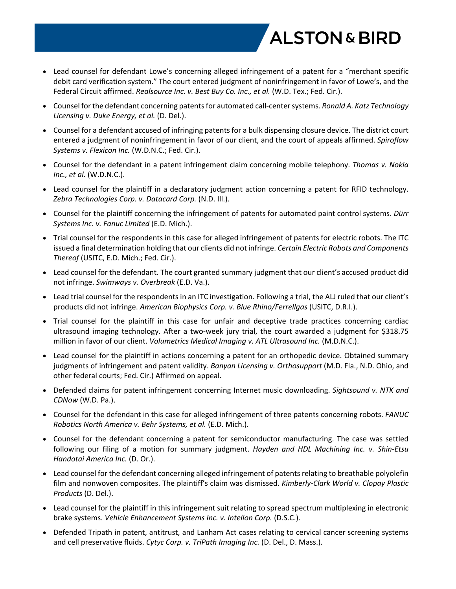

- Lead counsel for defendant Lowe's concerning alleged infringement of a patent for a "merchant specific debit card verification system." The court entered judgment of noninfringement in favor of Lowe's, and the Federal Circuit affirmed. *Realsource Inc. v. Best Buy Co. Inc., et al.* (W.D. Tex.; Fed. Cir.).
- Counsel for the defendant concerning patents for automated call-center systems. *Ronald A. Katz Technology Licensing v. Duke Energy, et al.* (D. Del.).
- Counsel for a defendant accused of infringing patents for a bulk dispensing closure device. The district court entered a judgment of noninfringement in favor of our client, and the court of appeals affirmed. *Spiroflow Systems v. Flexicon Inc.* (W.D.N.C.; Fed. Cir.).
- Counsel for the defendant in a patent infringement claim concerning mobile telephony. *Thomas v. Nokia Inc., et al.* (W.D.N.C.).
- Lead counsel for the plaintiff in a declaratory judgment action concerning a patent for RFID technology. *Zebra Technologies Corp. v. Datacard Corp.* (N.D. Ill.).
- Counsel for the plaintiff concerning the infringement of patents for automated paint control systems. *Dürr Systems Inc. v. Fanuc Limited* (E.D. Mich.).
- Trial counsel for the respondents in this case for alleged infringement of patents for electric robots. The ITC issued a final determination holding that our clients did not infringe. *Certain Electric Robots and Components Thereof* (USITC, E.D. Mich.; Fed. Cir.).
- Lead counsel for the defendant. The court granted summary judgment that our client's accused product did not infringe. *Swimways v. Overbreak* (E.D. Va.).
- Lead trial counsel for the respondents in an ITC investigation. Following a trial, the ALJ ruled that our client's products did not infringe. *American Biophysics Corp. v. Blue Rhino/Ferrellgas* (USITC, D.R.I.).
- Trial counsel for the plaintiff in this case for unfair and deceptive trade practices concerning cardiac ultrasound imaging technology. After a two-week jury trial, the court awarded a judgment for \$318.75 million in favor of our client. *Volumetrics Medical Imaging v. ATL Ultrasound Inc.* (M.D.N.C.).
- Lead counsel for the plaintiff in actions concerning a patent for an orthopedic device. Obtained summary judgments of infringement and patent validity. *Banyan Licensing v. Orthosupport* (M.D. Fla., N.D. Ohio, and other federal courts; Fed. Cir.) Affirmed on appeal.
- Defended claims for patent infringement concerning Internet music downloading. *Sightsound v. NTK and CDNow* (W.D. Pa.).
- Counsel for the defendant in this case for alleged infringement of three patents concerning robots. *FANUC Robotics North America v. Behr Systems, et al.* (E.D. Mich.).
- Counsel for the defendant concerning a patent for semiconductor manufacturing. The case was settled following our filing of a motion for summary judgment. *Hayden and HDL Machining Inc. v. Shin-Etsu Handotai America Inc.* (D. Or.).
- Lead counsel for the defendant concerning alleged infringement of patents relating to breathable polyolefin film and nonwoven composites. The plaintiff's claim was dismissed. *Kimberly-Clark World v. Clopay Plastic Products* (D. Del.).
- Lead counsel for the plaintiff in this infringement suit relating to spread spectrum multiplexing in electronic brake systems. *Vehicle Enhancement Systems Inc. v. Intellon Corp.* (D.S.C.).
- Defended Tripath in patent, antitrust, and Lanham Act cases relating to cervical cancer screening systems and cell preservative fluids. *Cytyc Corp. v. TriPath Imaging Inc.* (D. Del., D. Mass.).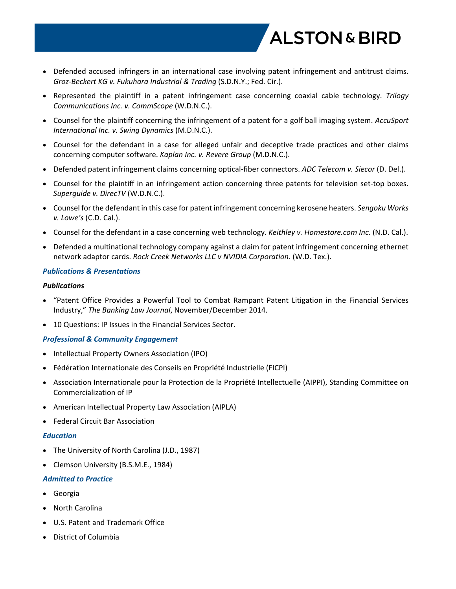

- Defended accused infringers in an international case involving patent infringement and antitrust claims. *Groz-Beckert KG v. Fukuhara Industrial & Trading* (S.D.N.Y.; Fed. Cir.).
- Represented the plaintiff in a patent infringement case concerning coaxial cable technology. *Trilogy Communications Inc. v. CommScope* (W.D.N.C.).
- Counsel for the plaintiff concerning the infringement of a patent for a golf ball imaging system. *AccuSport International Inc. v. Swing Dynamics* (M.D.N.C.).
- Counsel for the defendant in a case for alleged unfair and deceptive trade practices and other claims concerning computer software. *Kaplan Inc. v. Revere Group* (M.D.N.C.).
- Defended patent infringement claims concerning optical-fiber connectors. *ADC Telecom v. Siecor* (D. Del.).
- Counsel for the plaintiff in an infringement action concerning three patents for television set-top boxes. *Superguide v. DirecTV* (W.D.N.C.).
- Counsel for the defendant in this case for patent infringement concerning kerosene heaters. *Sengoku Works v. Lowe's* (C.D. Cal.).
- Counsel for the defendant in a case concerning web technology. *Keithley v. Homestore.com Inc.* (N.D. Cal.).
- Defended a multinational technology company against a claim for patent infringement concerning ethernet network adaptor cards. *Rock Creek Networks LLC v NVIDIA Corporation*. (W.D. Tex.).

#### *Publications & Presentations*

#### *Publications*

- "Patent Office Provides a Powerful Tool to Combat Rampant Patent Litigation in the Financial Services Industry," *The Banking Law Journal*, November/December 2014.
- 10 Questions: IP Issues in the Financial Services Sector.

## *Professional & Community Engagement*

- Intellectual Property Owners Association (IPO)
- Fédération Internationale des Conseils en Propriété Industrielle (FICPI)
- Association Internationale pour la Protection de la Propriété Intellectuelle (AIPPI), Standing Committee on Commercialization of IP
- American Intellectual Property Law Association (AIPLA)
- Federal Circuit Bar Association

#### *Education*

- The University of North Carolina (J.D., 1987)
- Clemson University (B.S.M.E., 1984)

#### *Admitted to Practice*

- Georgia
- North Carolina
- U.S. Patent and Trademark Office
- District of Columbia